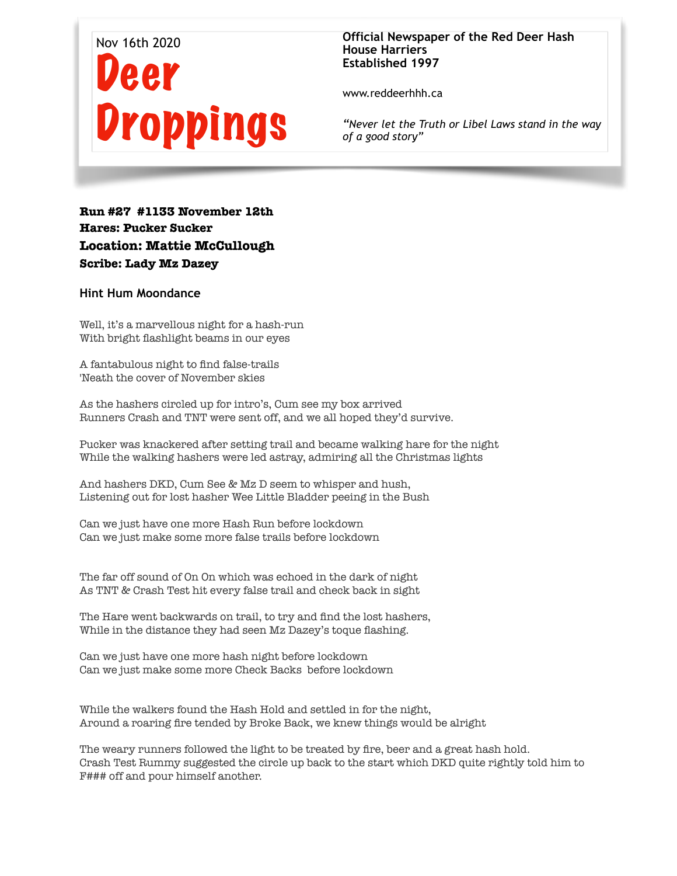

## **Official Newspaper of the Red Deer Hash House Harriers Established 1997**

www.reddeerhhh.ca

*"Never let the Truth or Libel Laws stand in the way of a good story"*

## **Run #27 #1133 November 12th Hares: Pucker Sucker Location: Mattie McCullough Scribe: Lady Mz Dazey**

## **Hint Hum Moondance**

Well, it's a marvellous night for a hash-run With bright flashlight beams in our eyes

A fantabulous night to find false-trails 'Neath the cover of November skies

As the hashers circled up for intro's, Cum see my box arrived Runners Crash and TNT were sent off, and we all hoped they'd survive.

Pucker was knackered after setting trail and became walking hare for the night While the walking hashers were led astray, admiring all the Christmas lights

And hashers DKD, Cum See & Mz D seem to whisper and hush, Listening out for lost hasher Wee Little Bladder peeing in the Bush

Can we just have one more Hash Run before lockdown Can we just make some more false trails before lockdown

The far off sound of On On which was echoed in the dark of night As TNT & Crash Test hit every false trail and check back in sight

The Hare went backwards on trail, to try and find the lost hashers, While in the distance they had seen Mz Dazey's toque flashing.

Can we just have one more hash night before lockdown Can we just make some more Check Backs before lockdown

While the walkers found the Hash Hold and settled in for the night, Around a roaring fire tended by Broke Back, we knew things would be alright

The weary runners followed the light to be treated by fire, beer and a great hash hold. Crash Test Rummy suggested the circle up back to the start which DKD quite rightly told him to F### off and pour himself another.